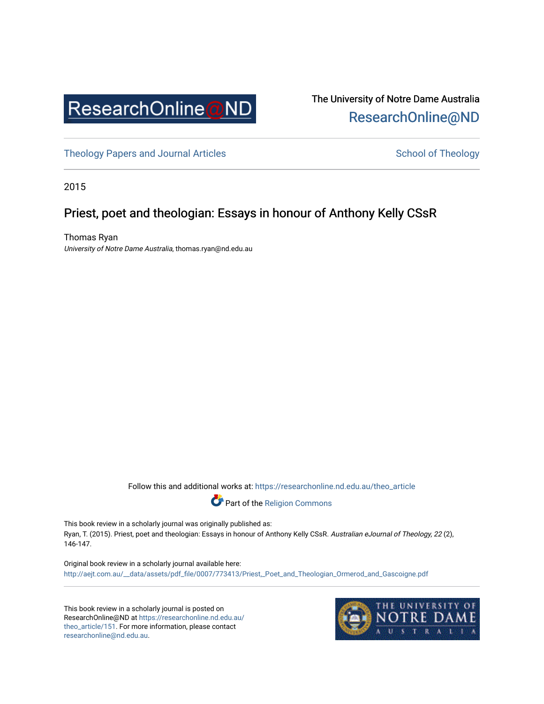

The University of Notre Dame Australia [ResearchOnline@ND](https://researchonline.nd.edu.au/) 

[Theology Papers and Journal Articles](https://researchonline.nd.edu.au/theo_article) and [School of Theology](https://researchonline.nd.edu.au/theo) School of Theology

2015

## Priest, poet and theologian: Essays in honour of Anthony Kelly CSsR

Thomas Ryan University of Notre Dame Australia, thomas.ryan@nd.edu.au

Follow this and additional works at: [https://researchonline.nd.edu.au/theo\\_article](https://researchonline.nd.edu.au/theo_article?utm_source=researchonline.nd.edu.au%2Ftheo_article%2F151&utm_medium=PDF&utm_campaign=PDFCoverPages) 



This book review in a scholarly journal was originally published as: Ryan, T. (2015). Priest, poet and theologian: Essays in honour of Anthony Kelly CSsR. Australian eJournal of Theology, 22 (2), 146-147.

Original book review in a scholarly journal available here: [http://aejt.com.au/\\_\\_data/assets/pdf\\_file/0007/773413/Priest,\\_Poet\\_and\\_Theologian\\_Ormerod\\_and\\_Gascoigne.pdf](http://aejt.com.au/__data/assets/pdf_file/0007/773413/Priest,_Poet_and_Theologian_Ormerod_and_Gascoigne.pdf)

This book review in a scholarly journal is posted on ResearchOnline@ND at [https://researchonline.nd.edu.au/](https://researchonline.nd.edu.au/theo_article/151) [theo\\_article/151](https://researchonline.nd.edu.au/theo_article/151). For more information, please contact [researchonline@nd.edu.au.](mailto:researchonline@nd.edu.au)

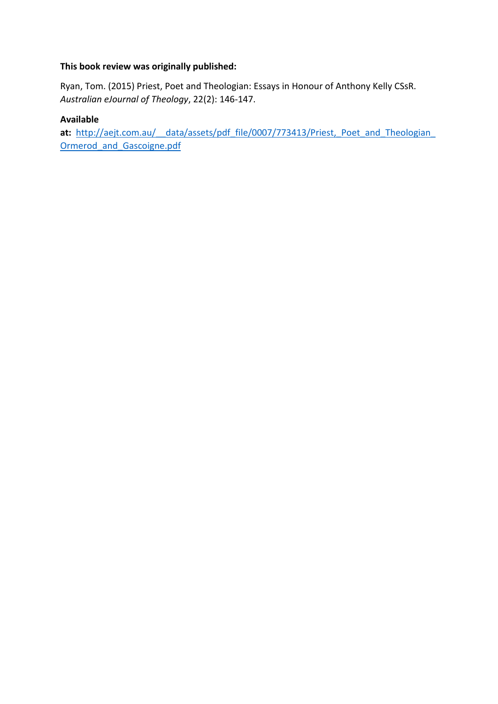### **This book review was originally published:**

Ryan, Tom. (2015) Priest, Poet and Theologian: Essays in Honour of Anthony Kelly CSsR. *Australian eJournal of Theology*, 22(2): 146-147.

### **Available**

at: http://aejt.com.au/ data/assets/pdf file/0007/773413/Priest, Poet and Theologian Ormerod and Gascoigne.pdf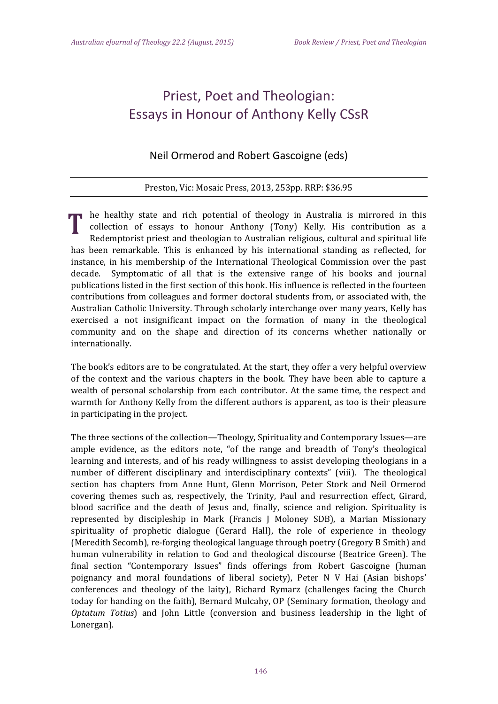# Priest, Poet and Theologian: Essays in Honour of Anthony Kelly CSsR

## Neil Ormerod and Robert Gascoigne (eds)

#### Preston, Vic: Mosaic Press, 2013, 253pp. RRP: \$36.95

he healthy state and rich potential of theology in Australia is mirrored in this collection of essays to honour Anthony (Tony) Kelly. His contribution as a Redemptorist priest and theologian to Australian religious, cultural and spiritual life has been remarkable. This is enhanced by his international standing as reflected, for instance, in his membership of the International Theological Commission over the past decade. Symptomatic of all that is the extensive range of his books and journal publications listed in the first section of this book. His influence is reflected in the fourteen contributions from colleagues and former doctoral students from, or associated with, the Australian Catholic University. Through scholarly interchange over many years, Kelly has exercised a not insignificant impact on the formation of many in the theological community and on the shape and direction of its concerns whether nationally or internationally.

The book's editors are to be congratulated. At the start, they offer a very helpful overview of the context and the various chapters in the book. They have been able to capture a wealth of personal scholarship from each contributor. At the same time, the respect and warmth for Anthony Kelly from the different authors is apparent, as too is their pleasure in participating in the project.

The three sections of the collection—Theology, Spirituality and Contemporary Issues—are ample evidence, as the editors note, "of the range and breadth of Tony's theological learning and interests, and of his ready willingness to assist developing theologians in a number of different disciplinary and interdisciplinary contexts" (viii). The theological section has chapters from Anne Hunt, Glenn Morrison, Peter Stork and Neil Ormerod covering themes such as, respectively, the Trinity, Paul and resurrection effect, Girard, blood sacrifice and the death of Jesus and, finally, science and religion. Spirituality is represented by discipleship in Mark (Francis J Moloney SDB), a Marian Missionary spirituality of prophetic dialogue (Gerard Hall), the role of experience in theology (Meredith Secomb), re-forging theological language through poetry (Gregory B Smith) and human vulnerability in relation to God and theological discourse (Beatrice Green). The final section "Contemporary Issues" finds offerings from Robert Gascoigne (human poignancy and moral foundations of liberal society), Peter N V Hai (Asian bishops' conferences and theology of the laity), Richard Rymarz (challenges facing the Church today for handing on the faith), Bernard Mulcahy, OP (Seminary formation, theology and *Optatum Totius*) and John Little (conversion and business leadership in the light of Lonergan).